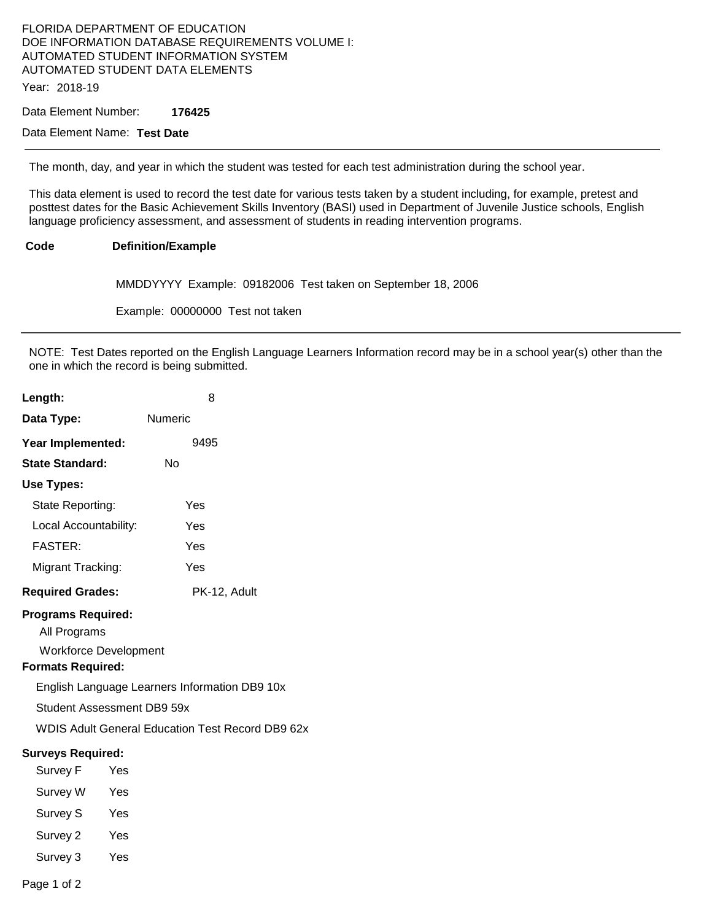#### FLORIDA DEPARTMENT OF EDUCATION DOE INFORMATION DATABASE REQUIREMENTS VOLUME I: AUTOMATED STUDENT INFORMATION SYSTEM AUTOMATED STUDENT DATA ELEMENTS Year: 2018-19

Data Element Number: **176425** 

### Data Element Name: **Test Date**

The month, day, and year in which the student was tested for each test administration during the school year.

This data element is used to record the test date for various tests taken by a student including, for example, pretest and posttest dates for the Basic Achievement Skills Inventory (BASI) used in Department of Juvenile Justice schools, English language proficiency assessment, and assessment of students in reading intervention programs.

#### **Code Definition/Example**

MMDDYYYY Example: 09182006 Test taken on September 18, 2006

Example: 00000000 Test not taken

NOTE: Test Dates reported on the English Language Learners Information record may be in a school year(s) other than the one in which the record is being submitted.

| Length:                                                                                               |                            | 8                                                       |
|-------------------------------------------------------------------------------------------------------|----------------------------|---------------------------------------------------------|
| Data Type:                                                                                            | <b>Numeric</b>             |                                                         |
| Year Implemented:                                                                                     |                            | 9495                                                    |
| <b>State Standard:</b>                                                                                | <b>No</b>                  |                                                         |
| Use Types:                                                                                            |                            |                                                         |
| State Reporting:                                                                                      |                            | Yes                                                     |
| Local Accountability:                                                                                 |                            | Yes                                                     |
| <b>FASTER:</b>                                                                                        |                            | Yes                                                     |
| Migrant Tracking:                                                                                     |                            | Yes                                                     |
| <b>Required Grades:</b>                                                                               |                            | PK-12, Adult                                            |
| <b>Programs Required:</b><br>All Programs<br><b>Workforce Development</b><br><b>Formats Required:</b> |                            |                                                         |
|                                                                                                       |                            | English Language Learners Information DB9 10x           |
|                                                                                                       | Student Assessment DB9 59x |                                                         |
|                                                                                                       |                            | <b>WDIS Adult General Education Test Record DB9 62x</b> |
| <b>Surveys Required:</b>                                                                              |                            |                                                         |
| Survey F Yes                                                                                          |                            |                                                         |
| Survey W Yes                                                                                          |                            |                                                         |
| Survey S                                                                                              | Yes                        |                                                         |
| Survey 2                                                                                              | Yes                        |                                                         |
| Survey 3                                                                                              | Yes                        |                                                         |

Page 1 of 2